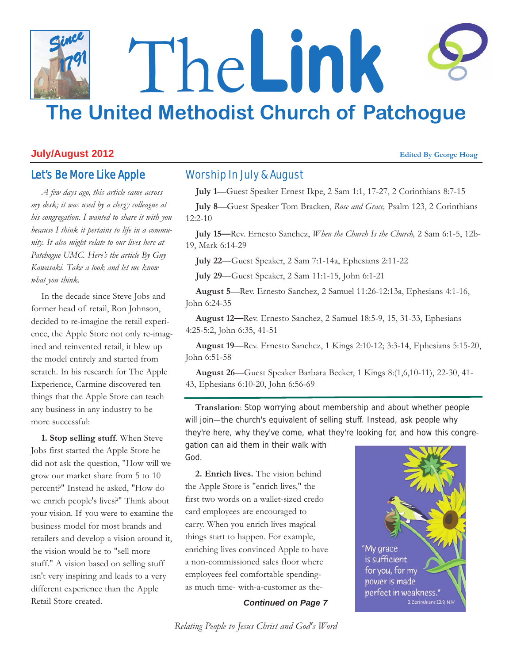# The**Link The United Methodist Church of Patchogue** *Since 1791*

# **July/August 2012 Edited By George Hoag**

# Let's Be More Like Apple

*A few days ago, this article came across my desk; it was used by a clergy colleague at his congregation. I wanted to share it with you because I think it pertains to life in a community. It also might relate to our lives here at Patchogue UMC. Here's the article By Guy Kawasaki. Take a look and let me know what you think.*

In the decade since Steve Jobs and former head of retail, Ron Johnson, decided to re-imagine the retail experience, the Apple Store not only re-imagined and reinvented retail, it blew up the model entirely and started from scratch. In his research for The Apple Experience, Carmine discovered ten things that the Apple Store can teach any business in any industry to be more successful:

**1. Stop selling stuff**. When Steve Jobs first started the Apple Store he did not ask the question, "How will we grow our market share from 5 to 10 percent?" Instead he asked, "How do we enrich people's lives?" Think about your vision. If you were to examine the business model for most brands and retailers and develop a vision around it, the vision would be to "sell more stuff." A vision based on selling stuff isn't very inspiring and leads to a very different experience than the Apple Retail Store created.

# Worship In July & August

**July 1**—Guest Speaker Ernest Ikpe, 2 Sam 1:1, 17-27, 2 Corinthians 8:7-15

**July 8**—Guest Speaker Tom Bracken, *Rose and Grace,* Psalm 123, 2 Corinthians 12:2-10

**July 15—**Rev. Ernesto Sanchez, *When the Church Is the Church,* 2 Sam 6:1-5, 12b-19, Mark 6:14-29

**July 22**—Guest Speaker, 2 Sam 7:1-14a, Ephesians 2:11-22

**July 29**—Guest Speaker, 2 Sam 11:1-15, John 6:1-21

**August 5**—Rev. Ernesto Sanchez, 2 Samuel 11:26-12:13a, Ephesians 4:1-16, John 6:24-35

**August 12—**Rev. Ernesto Sanchez, 2 Samuel 18:5-9, 15, 31-33, Ephesians 4:25-5:2, John 6:35, 41-51

**August 19**—Rev. Ernesto Sanchez, 1 Kings 2:10-12; 3:3-14, Ephesians 5:15-20, John 6:51-58

**August 26**—Guest Speaker Barbara Becker, 1 Kings 8:(1,6,10-11), 22-30, 41- 43, Ephesians 6:10-20, John 6:56-69

**Translation**: Stop worrying about membership and about whether people will join—the church's equivalent of selling stuff. Instead, ask people why they're here, why they've come, what they're looking for, and how this congre-

gation can aid them in their walk with God.

**2. Enrich lives.** The vision behind the Apple Store is "enrich lives," the first two words on a wallet-sized credo card employees are encouraged to carry. When you enrich lives magical things start to happen. For example, enriching lives convinced Apple to have a non-commissioned sales floor where employees feel comfortable spendingas much time- with-a-customer as the-

*Continued on Page 7*



*Relating People to Jesus Christ and God's Word*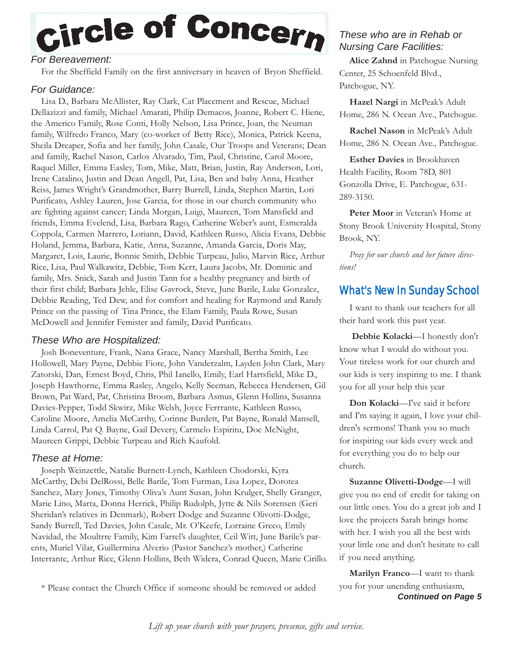# Circle of Concern

# *For Bereavement:*

For the Sheffield Family on the first anniversary in heaven of Bryon Sheffield.

# *For Guidance:*

Lisa D., Barbara McAllister, Ray Clark, Cat Placement and Rescue, Michael Dellazizzi and family, Michael Amarati, Philip Demacos, Joanne, Robert C. Hiene, the Americo Family, Rose Conti, Holly Nelson, Lisa Prince, Joan, the Neuman family, Wilfredo Franco, Mary (co-worker of Betty Rice), Monica, Patrick Keena, Sheila Dreaper, Sofia and her family, John Casale, Our Troops and Veterans; Dean and family, Rachel Nason, Carlos Alvarado, Tim, Paul, Christine, Carol Moore, Raquel Miller, Emma Easley, Tom, Mike, Matt, Brian, Justin, Ray Anderson, Lori, Irene Catalino, Justin and Dean Angell, Pat, Lisa, Ben and baby Anna, Heather Reiss, James Wright's Grandmother, Barry Burrell, Linda, Stephen Martin, Lori Purificato, Ashley Lauren, Jose Garcia, for those in our church community who are fighting against cancer; Linda Morgan, Luigi, Maureen, Tom Mansfield and friends, Emma Evelend, Lisa, Barbara Rago, Catherine Weber's aunt, Esmeralda Coppola, Carmen Marrero, Loriann, David, Kathleen Russo, Alicia Evans, Debbie Holand, Jemma, Barbara, Katie, Anna, Suzanne, Amanda Garcia, Doris May, Margaret, Lois, Laurie, Bonnie Smith, Debbie Turpeau, Julio, Marvin Rice, Arthur Rice, Lisa, Paul Walkawitz, Debbie, Tom Kerr, Laura Jacobs, Mr. Dominic and family, Mrs. Snick, Sarah and Justin Tann for a healthy pregnancy and birth of their first child; Barbara Jehle, Elise Gavrock, Steve, June Barile, Luke Gonzalez, Debbie Reading, Ted Dew, and for comfort and healing for Raymond and Randy Prince on the passing of Tina Prince, the Elam Family, Paula Rowe, Susan McDowell and Jennifer Femister and family, David Purificato.

## *These Who are Hospitalized:*

Josh Boneventure, Frank, Nana Grace, Nancy Marshall, Bertha Smith, Lee Hollowell, Mary Payne, Debbie Fiore, John Vanderzalm, Layden John Clark, Mary Zatorski, Dan, Ernest Boyd, Chris, Phil Ianello, Emily, Earl Hartsfield, Mike D., Joseph Hawthorne, Emma Rasley, Angelo, Kelly Seeman, Rebecca Hendersen, Gil Brown, Pat Ward, Pat, Christina Broom, Barbara Asmus, Glenn Hollins, Susanna Davies-Pepper, Todd Skwirz, Mike Welsh, Joyce Ferrrante, Kathleen Russo, Caroline Moore, Amelia McCarthy, Corinne Burdett, Pat Bayne, Ronald Mansell, Linda Carrol, Pat Q. Bayne, Gail Devery, Carmelo Espiritu, Doc McNight, Maureen Grippi, Debbie Turpeau and Rich Kaufold.

### *These at Home:*

Joseph Weinzettle, Natalie Burnett-Lynch, Kathleen Chodorski, Kyra McCarthy, Debi DelRossi, Belle Barile, Tom Furman, Lisa Lopez, Dorotea Sanchez, Mary Jones, Timothy Oliva's Aunt Susan, John Krulger, Shelly Granger, Marie Lino, Marta, Donna Herrick, Philip Rudolph, Jytte & Nils Sorensen (Geri Sheridan's relatives in Denmark), Robert Dodge and Suzanne Olivotti-Dodge, Sandy Burrell, Ted Davies, John Casale, Mr. O'Keefe, Lorraine Greco, Emily Navidad, the Moultrre Family, Kim Farrel's daughter, Ceil Witt, June Barile's parents, Muriel Vilar, Guillermina Alverio (Pastor Sanchez's mother,) Catherine Interrante, Arthur Rice, Glenn Hollins, Beth Widera, Conrad Queen, Marie Cirillo.

# *These who are in Rehab or Nursing Care Facilities:*

**Alice Zahnd** in Patchogue Nursing Center, 25 Schoenfeld Blvd., Patchogue, NY.

**Hazel Nargi** in McPeak's Adult Home, 286 N. Ocean Ave., Patchogue.

**Rachel Nason** in McPeak's Adult Home, 286 N. Ocean Ave., Patchogue.

**Esther Davies** in Brookhaven Health Facility, Room 78D, 801 Gonzolla Drive, E. Patchogue, 631- 289-3150.

Peter Moor in Veteran's Home at Stony Brook University Hospital, Stony Brook, NY.

*Pray for our church and her future directions!*

# What's New In Sunday School

I want to thank our teachers for all their hard work this past year.

**Debbie Kolacki**—I honestly don't know what I would do without you. Your tireless work for our church and our kids is very inspiring to me. I thank you for all your help this year

**Don Kolacki**—I've said it before and I'm saying it again, I love your children's sermons! Thank you so much for inspiring our kids every week and for everything you do to help our church.

**Suzanne Olivetti-Dodge**—I will give you no end of credit for taking on our little ones. You do a great job and I love the projects Sarah brings home with her. I wish you all the best with your little one and don't hesitate to call if you need anything.

*Continued on Page 5* **Marilyn Franco**—I want to thank you for your unending enthusiasm,

\* Please contact the Church Office if someone should be removed or added

*Lift up your church with your prayers, presence, gifts and service.*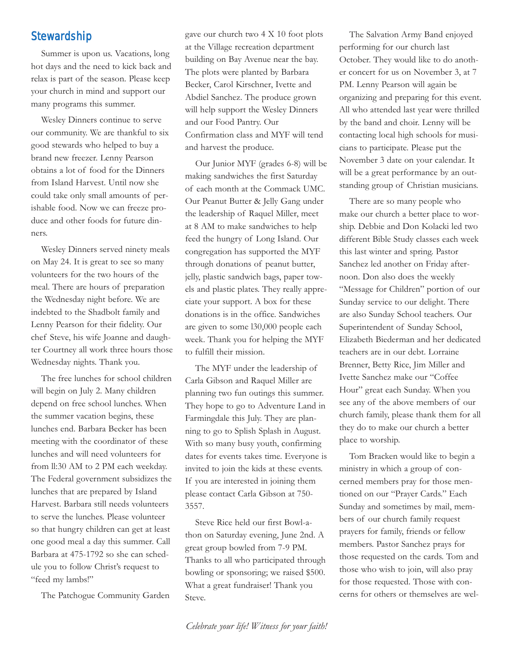# **Stewardship**

Summer is upon us. Vacations, long hot days and the need to kick back and relax is part of the season. Please keep your church in mind and support our many programs this summer.

Wesley Dinners continue to serve our community. We are thankful to six good stewards who helped to buy a brand new freezer. Lenny Pearson obtains a lot of food for the Dinners from Island Harvest. Until now she could take only small amounts of perishable food. Now we can freeze produce and other foods for future dinners.

Wesley Dinners served ninety meals on May 24. It is great to see so many volunteers for the two hours of the meal. There are hours of preparation the Wednesday night before. We are indebted to the Shadbolt family and Lenny Pearson for their fidelity. Our chef Steve, his wife Joanne and daughter Courtney all work three hours those Wednesday nights. Thank you.

The free lunches for school children will begin on July 2. Many children depend on free school lunches. When the summer vacation begins, these lunches end. Barbara Becker has been meeting with the coordinator of these lunches and will need volunteers for from ll:30 AM to 2 PM each weekday. The Federal government subsidizes the lunches that are prepared by Island Harvest. Barbara still needs volunteers to serve the lunches. Please volunteer so that hungry children can get at least one good meal a day this summer. Call Barbara at 475-1792 so she can schedule you to follow Christ's request to "feed my lambs!"

The Patchogue Community Garden

gave our church two 4 X 10 foot plots at the Village recreation department building on Bay Avenue near the bay. The plots were planted by Barbara Becker, Carol Kirschner, Ivette and Abdiel Sanchez. The produce grown will help support the Wesley Dinners and our Food Pantry. Our Confirmation class and MYF will tend and harvest the produce.

Our Junior MYF (grades 6-8) will be making sandwiches the first Saturday of each month at the Commack UMC. Our Peanut Butter & Jelly Gang under the leadership of Raquel Miller, meet at 8 AM to make sandwiches to help feed the hungry of Long Island. Our congregation has supported the MYF through donations of peanut butter, jelly, plastic sandwich bags, paper towels and plastic plates. They really appreciate your support. A box for these donations is in the office. Sandwiches are given to some l30,000 people each week. Thank you for helping the MYF to fulfill their mission.

The MYF under the leadership of Carla Gibson and Raquel Miller are planning two fun outings this summer. They hope to go to Adventure Land in Farmingdale this July. They are planning to go to Splish Splash in August. With so many busy youth, confirming dates for events takes time. Everyone is invited to join the kids at these events. If you are interested in joining them please contact Carla Gibson at 750- 3557.

Steve Rice held our first Bowl-athon on Saturday evening, June 2nd. A great group bowled from 7-9 PM. Thanks to all who participated through bowling or sponsoring; we raised \$500. What a great fundraiser! Thank you Steve.

The Salvation Army Band enjoyed performing for our church last October. They would like to do another concert for us on November 3, at 7 PM. Lenny Pearson will again be organizing and preparing for this event. All who attended last year were thrilled by the band and choir. Lenny will be contacting local high schools for musicians to participate. Please put the November 3 date on your calendar. It will be a great performance by an outstanding group of Christian musicians.

There are so many people who make our church a better place to worship. Debbie and Don Kolacki led two different Bible Study classes each week this last winter and spring. Pastor Sanchez led another on Friday afternoon. Don also does the weekly "Message for Children" portion of our Sunday service to our delight. There are also Sunday School teachers. Our Superintendent of Sunday School, Elizabeth Biederman and her dedicated teachers are in our debt. Lorraine Brenner, Betty Rice, Jim Miller and Ivette Sanchez make our "Coffee Hour" great each Sunday. When you see any of the above members of our church family, please thank them for all they do to make our church a better place to worship.

Tom Bracken would like to begin a ministry in which a group of concerned members pray for those mentioned on our "Prayer Cards." Each Sunday and sometimes by mail, members of our church family request prayers for family, friends or fellow members. Pastor Sanchez prays for those requested on the cards. Tom and those who wish to join, will also pray for those requested. Those with concerns for others or themselves are wel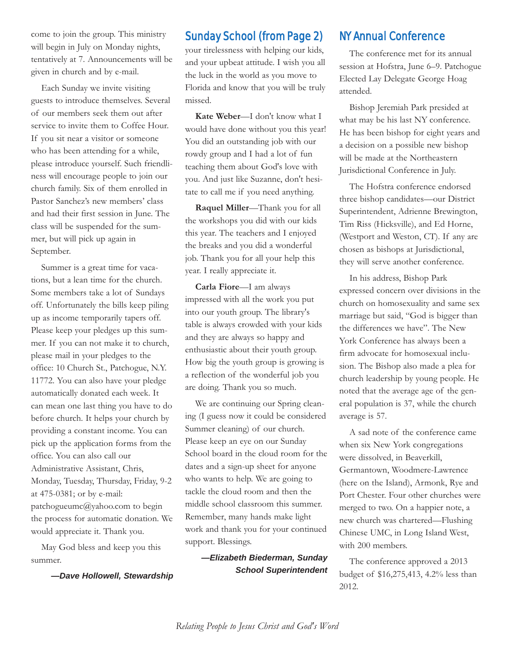come to join the group. This ministry will begin in July on Monday nights, tentatively at 7. Announcements will be given in church and by e-mail.

Each Sunday we invite visiting guests to introduce themselves. Several of our members seek them out after service to invite them to Coffee Hour. If you sit near a visitor or someone who has been attending for a while, please introduce yourself. Such friendliness will encourage people to join our church family. Six of them enrolled in Pastor Sanchez's new members' class and had their first session in June. The class will be suspended for the summer, but will pick up again in September.

Summer is a great time for vacations, but a lean time for the church. Some members take a lot of Sundays off. Unfortunately the bills keep piling up as income temporarily tapers off. Please keep your pledges up this summer. If you can not make it to church, please mail in your pledges to the office: 10 Church St., Patchogue, N.Y. 11772. You can also have your pledge automatically donated each week. It can mean one last thing you have to do before church. It helps your church by providing a constant income. You can pick up the application forms from the office. You can also call our Administrative Assistant, Chris, Monday, Tuesday, Thursday, Friday, 9-2 at 475-0381; or by e-mail: patchogueumc@yahoo.com to begin the process for automatic donation. We would appreciate it. Thank you.

May God bless and keep you this summer.

*—Dave Hollowell, Stewardship*

# Sunday School (from Page 2)

your tirelessness with helping our kids, and your upbeat attitude. I wish you all the luck in the world as you move to Florida and know that you will be truly missed.

**Kate Weber**—I don't know what I would have done without you this year! You did an outstanding job with our rowdy group and I had a lot of fun teaching them about God's love with you. And just like Suzanne, don't hesitate to call me if you need anything.

**Raquel Miller**—Thank you for all the workshops you did with our kids this year. The teachers and I enjoyed the breaks and you did a wonderful job. Thank you for all your help this year. I really appreciate it.

**Carla Fiore**—I am always impressed with all the work you put into our youth group. The library's table is always crowded with your kids and they are always so happy and enthusiastic about their youth group. How big the youth group is growing is a reflection of the wonderful job you are doing. Thank you so much.

We are continuing our Spring cleaning (I guess now it could be considered Summer cleaning) of our church. Please keep an eye on our Sunday School board in the cloud room for the dates and a sign-up sheet for anyone who wants to help. We are going to tackle the cloud room and then the middle school classroom this summer. Remember, many hands make light work and thank you for your continued support. Blessings.

> *—Elizabeth Biederman, Sunday School Superintendent*

# NY Annual Conference

The conference met for its annual session at Hofstra, June 6–9. Patchogue Elected Lay Delegate George Hoag attended.

Bishop Jeremiah Park presided at what may be his last NY conference. He has been bishop for eight years and a decision on a possible new bishop will be made at the Northeastern Jurisdictional Conference in July.

The Hofstra conference endorsed three bishop candidates—our District Superintendent, Adrienne Brewington, Tim Riss (Hicksville), and Ed Horne, (Westport and Weston, CT). If any are chosen as bishops at Jurisdictional, they will serve another conference.

In his address, Bishop Park expressed concern over divisions in the church on homosexuality and same sex marriage but said, "God is bigger than the differences we have". The New York Conference has always been a firm advocate for homosexual inclusion. The Bishop also made a plea for church leadership by young people. He noted that the average age of the general population is 37, while the church average is 57.

A sad note of the conference came when six New York congregations were dissolved, in Beaverkill, Germantown, Woodmere-Lawrence (here on the Island), Armonk, Rye and Port Chester. Four other churches were merged to two. On a happier note, a new church was chartered—Flushing Chinese UMC, in Long Island West, with 200 members.

The conference approved a 2013 budget of \$16,275,413, 4.2% less than 2012.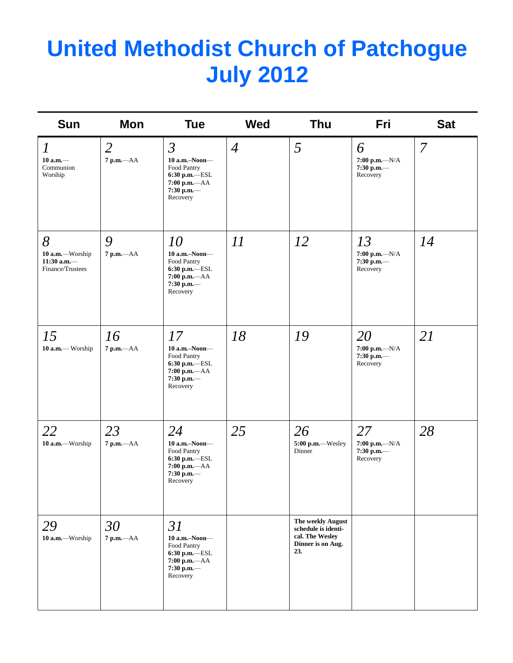# **United Methodist Church of Patchogue July 2012**

| Sun                                                        | Mon                            | <b>Tue</b>                                                                                                  | <b>Wed</b>     | Thu                                                                                     | Fri                                                | <b>Sat</b>     |
|------------------------------------------------------------|--------------------------------|-------------------------------------------------------------------------------------------------------------|----------------|-----------------------------------------------------------------------------------------|----------------------------------------------------|----------------|
| $\boldsymbol{l}$<br>$10$ a.m. $-$<br>Communion<br>Worship  | $\overline{2}$<br>$7 p.m. -AA$ | $\mathfrak{Z}$<br>10 a.m.-Noon-<br>Food Pantry<br>6:30 p.m.-ESL<br>7:00 p.m.-- AA<br>7:30 p.m.-<br>Recovery | $\overline{4}$ | 5                                                                                       | 6<br>$7:00 p.m. -N/A$<br>7:30 p.m.-<br>Recovery    | $\overline{7}$ |
| 8<br>10 a.m.-Worship<br>11:30 a.m. $-$<br>Finance/Trustees | 9<br>7 p.m.--- AA              | 10<br>10 a.m.-Noon-<br>Food Pantry<br>6:30 p.m.-ESL<br>7:00 p.m.-- AA<br>7:30 p.m.-<br>Recovery             | 11             | 12                                                                                      | 13<br>$7:00 p.m. -N/A$<br>$7:30$ p.m.-<br>Recovery | 14             |
| 15<br>10 a.m.- Worship                                     | 16<br>7 p.m.-- AA              | 17<br>10 a.m.-Noon-<br>Food Pantry<br>6:30 p.m.-ESL<br>7:00 p.m.-- AA<br>7:30 p.m.-<br>Recovery             | 18             | 19                                                                                      | 20<br>$7:00 p.m. -N/A$<br>7:30 p.m.-<br>Recovery   | 21             |
| 22<br>10 a.m.-Worship                                      | 23<br>$7 p.m. -AA$             | 24<br>10 a.m.-Noon-<br>Food Pantry<br>6:30 p.m.-ESL<br>$7:00$ p.m.- $AA$<br>$7:30$ p.m.-<br>Recovery        | 25             | 26<br>5:00 p.m.--Wesley<br>Dinner                                                       | 27<br>7:00 p.m.- $N/A$<br>7:30 p.m.-<br>Recovery   | 28             |
| 29<br>10 a.m.-Worship                                      | 30<br>$7$ p.m.- $AA$           | 31<br>10 a.m.-Noon-<br>Food Pantry<br>6:30 p.m.-ESL<br>7:00 p.m.-- AA<br>7:30 p.m.-<br>Recovery             |                | The weekly August<br>schedule is identi-<br>cal. The Wesley<br>Dinner is on Aug.<br>23. |                                                    |                |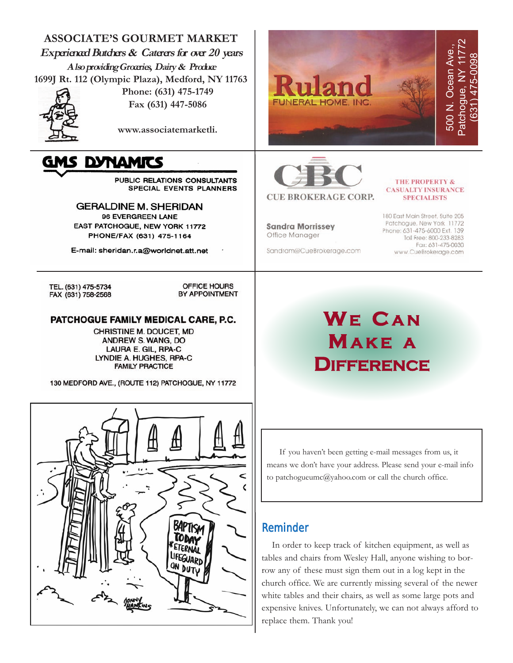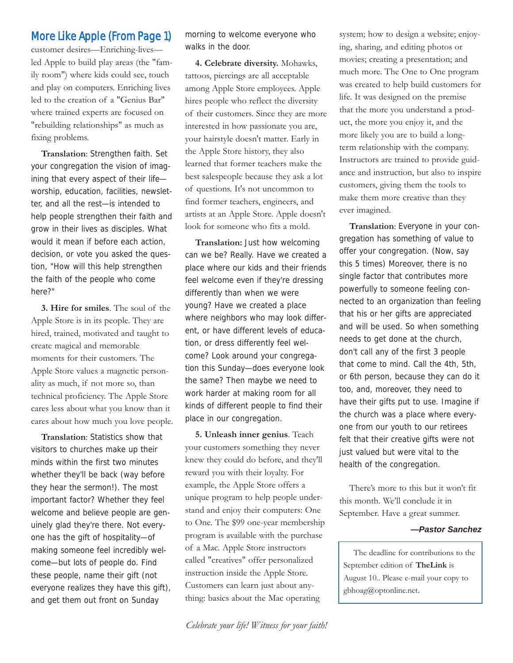# More Like Apple (From Page 1)

customer desires—Enriching-lives led Apple to build play areas (the "family room") where kids could see, touch and play on computers. Enriching lives led to the creation of a "Genius Bar" where trained experts are focused on "rebuilding relationships" as much as fixing problems.

**Translation**: Strengthen faith. Set your congregation the vision of imagining that every aspect of their life worship, education, facilities, newsletter, and all the rest—is intended to help people strengthen their faith and grow in their lives as disciples. What would it mean if before each action, decision, or vote you asked the question, "How will this help strengthen the faith of the people who come here?"

**3. Hire for smiles**. The soul of the Apple Store is in its people. They are hired, trained, motivated and taught to create magical and memorable moments for their customers. The Apple Store values a magnetic personality as much, if not more so, than technical proficiency. The Apple Store cares less about what you know than it cares about how much you love people.

**Translation**: Statistics show that visitors to churches make up their minds within the first two minutes whether they'll be back (way before they hear the sermon!). The most important factor? Whether they feel welcome and believe people are genuinely glad they're there. Not everyone has the gift of hospitality—of making someone feel incredibly welcome—but lots of people do. Find these people, name their gift (not everyone realizes they have this gift), and get them out front on Sunday

morning to welcome everyone who walks in the door.

**4. Celebrate diversity.** Mohawks, tattoos, piercings are all acceptable among Apple Store employees. Apple hires people who reflect the diversity of their customers. Since they are more interested in how passionate you are, your hairstyle doesn't matter. Early in the Apple Store history, they also learned that former teachers make the best salespeople because they ask a lot of questions. It's not uncommon to find former teachers, engineers, and artists at an Apple Store. Apple doesn't look for someone who fits a mold.

**Translation:** Just how welcoming can we be? Really. Have we created a place where our kids and their friends feel welcome even if they're dressing differently than when we were young? Have we created a place where neighbors who may look different, or have different levels of education, or dress differently feel welcome? Look around your congregation this Sunday—does everyone look the same? Then maybe we need to work harder at making room for all kinds of different people to find their place in our congregation.

**5. Unleash inner genius**. Teach your customers something they never knew they could do before, and they'll reward you with their loyalty. For example, the Apple Store offers a unique program to help people understand and enjoy their computers: One to One. The \$99 one-year membership program is available with the purchase of a Mac. Apple Store instructors called "creatives" offer personalized instruction inside the Apple Store. Customers can learn just about anything: basics about the Mac operating

system; how to design a website; enjoying, sharing, and editing photos or movies; creating a presentation; and much more. The One to One program was created to help build customers for life. It was designed on the premise that the more you understand a product, the more you enjoy it, and the more likely you are to build a longterm relationship with the company. Instructors are trained to provide guidance and instruction, but also to inspire customers, giving them the tools to make them more creative than they ever imagined.

**Translation**: Everyone in your congregation has something of value to offer your congregation. (Now, say this 5 times) Moreover, there is no single factor that contributes more powerfully to someone feeling connected to an organization than feeling that his or her gifts are appreciated and will be used. So when something needs to get done at the church, don't call any of the first 3 people that come to mind. Call the 4th, 5th, or 6th person, because they can do it too, and, moreover, they need to have their gifts put to use. Imagine if the church was a place where everyone from our youth to our retirees felt that their creative gifts were not just valued but were vital to the health of the congregation.

There's more to this but it won't fit this month. We'll conclude it in September. Have a great summer.

#### *—Pastor Sanchez*

The deadline for contributions to the September edition of **TheLink** is August 10.. Please e-mail your copy to gbhoag@optonline.net.